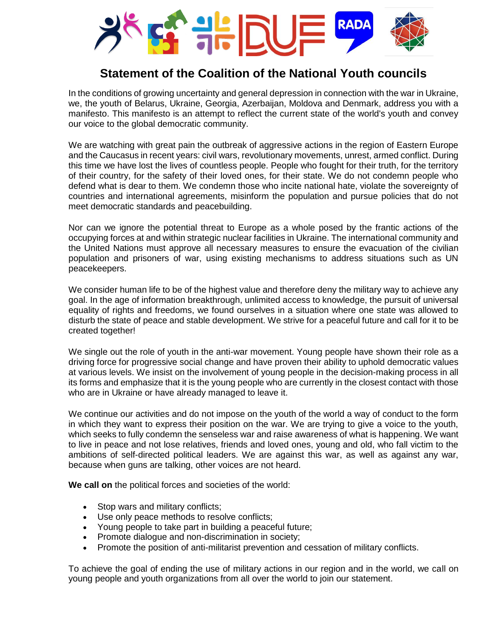

## **Statement of the Coalition of the National Youth councils**

In the conditions of growing uncertainty and general depression in connection with the war in Ukraine, we, the youth of Belarus, Ukraine, Georgia, Azerbaijan, Moldova and Denmark, address you with a manifesto. This manifesto is an attempt to reflect the current state of the world's youth and convey our voice to the global democratic community.

We are watching with great pain the outbreak of aggressive actions in the region of Eastern Europe and the Caucasus in recent years: civil wars, revolutionary movements, unrest, armed conflict. During this time we have lost the lives of countless people. People who fought for their truth, for the territory of their country, for the safety of their loved ones, for their state. We do not condemn people who defend what is dear to them. We condemn those who incite national hate, violate the sovereignty of countries and international agreements, misinform the population and pursue policies that do not meet democratic standards and peacebuilding.

Nor can we ignore the potential threat to Europe as a whole posed by the frantic actions of the occupying forces at and within strategic nuclear facilities in Ukraine. The international community and the United Nations must approve all necessary measures to ensure the evacuation of the civilian population and prisoners of war, using existing mechanisms to address situations such as UN peacekeepers.

We consider human life to be of the highest value and therefore deny the military way to achieve any goal. In the age of information breakthrough, unlimited access to knowledge, the pursuit of universal equality of rights and freedoms, we found ourselves in a situation where one state was allowed to disturb the state of peace and stable development. We strive for a peaceful future and call for it to be created together!

We single out the role of youth in the anti-war movement. Young people have shown their role as a driving force for progressive social change and have proven their ability to uphold democratic values at various levels. We insist on the involvement of young people in the decision-making process in all its forms and emphasize that it is the young people who are currently in the closest contact with those who are in Ukraine or have already managed to leave it.

We continue our activities and do not impose on the youth of the world a way of conduct to the form in which they want to express their position on the war. We are trying to give a voice to the youth, which seeks to fully condemn the senseless war and raise awareness of what is happening. We want to live in peace and not lose relatives, friends and loved ones, young and old, who fall victim to the ambitions of self-directed political leaders. We are against this war, as well as against any war, because when guns are talking, other voices are not heard.

**We call on** the political forces and societies of the world:

- Stop wars and military conflicts;
- Use only peace methods to resolve conflicts;
- Young people to take part in building a peaceful future;
- Promote dialogue and non-discrimination in society;
- Promote the position of anti-militarist prevention and cessation of military conflicts.

To achieve the goal of ending the use of military actions in our region and in the world, we call on young people and youth organizations from all over the world to join our statement.